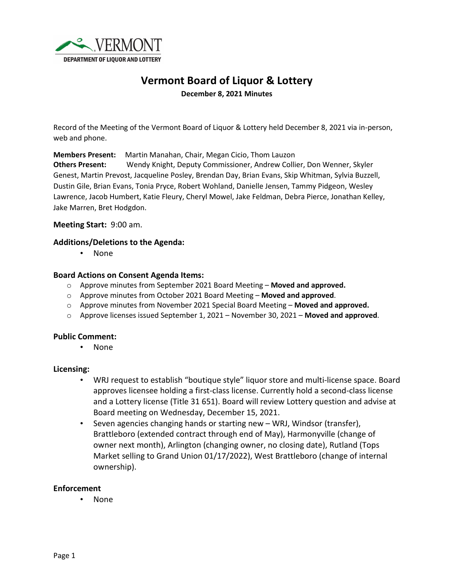

# **Vermont Board of Liquor & Lottery**

**December 8, 2021 Minutes**

Record of the Meeting of the Vermont Board of Liquor & Lottery held December 8, 2021 via in-person, web and phone.

**Members Present:** Martin Manahan, Chair, Megan Cicio, Thom Lauzon

**Others Present:** Wendy Knight, Deputy Commissioner, Andrew Collier, Don Wenner, Skyler Genest, Martin Prevost, Jacqueline Posley, Brendan Day, Brian Evans, Skip Whitman, Sylvia Buzzell, Dustin Gile, Brian Evans, Tonia Pryce, Robert Wohland, Danielle Jensen, Tammy Pidgeon, Wesley Lawrence, Jacob Humbert, Katie Fleury, Cheryl Mowel, Jake Feldman, Debra Pierce, Jonathan Kelley, Jake Marren, Bret Hodgdon.

**Meeting Start:** 9:00 am.

## **Additions/Deletions to the Agenda:**

• None

#### **Board Actions on Consent Agenda Items:**

- o Approve minutes from September 2021 Board Meeting **Moved and approved.**
- o Approve minutes from October 2021 Board Meeting **Moved and approved**.
- o Approve minutes from November 2021 Special Board Meeting **Moved and approved.**
- o Approve licenses issued September 1, 2021 November 30, 2021 **Moved and approved**.

# **Public Comment:**

• None

#### **Licensing:**

- WRJ request to establish "boutique style" liquor store and multi-license space. Board approves licensee holding a first-class license. Currently hold a second-class license and a Lottery license (Title 31 651). Board will review Lottery question and advise at Board meeting on Wednesday, December 15, 2021.
- Seven agencies changing hands or starting new WRJ, Windsor (transfer), Brattleboro (extended contract through end of May), Harmonyville (change of owner next month), Arlington (changing owner, no closing date), Rutland (Tops Market selling to Grand Union 01/17/2022), West Brattleboro (change of internal ownership).

#### **Enforcement**

• None